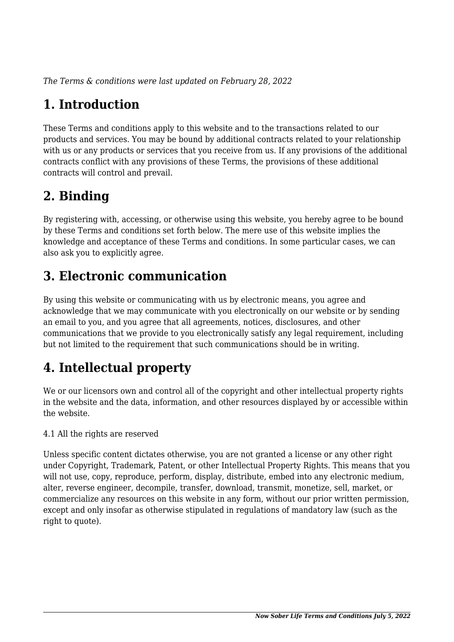*The Terms & conditions were last updated on February 28, 2022*

# **1. Introduction**

These Terms and conditions apply to this website and to the transactions related to our products and services. You may be bound by additional contracts related to your relationship with us or any products or services that you receive from us. If any provisions of the additional contracts conflict with any provisions of these Terms, the provisions of these additional contracts will control and prevail.

## **2. Binding**

By registering with, accessing, or otherwise using this website, you hereby agree to be bound by these Terms and conditions set forth below. The mere use of this website implies the knowledge and acceptance of these Terms and conditions. In some particular cases, we can also ask you to explicitly agree.

# **3. Electronic communication**

By using this website or communicating with us by electronic means, you agree and acknowledge that we may communicate with you electronically on our website or by sending an email to you, and you agree that all agreements, notices, disclosures, and other communications that we provide to you electronically satisfy any legal requirement, including but not limited to the requirement that such communications should be in writing.

# **4. Intellectual property**

We or our licensors own and control all of the copyright and other intellectual property rights in the website and the data, information, and other resources displayed by or accessible within the website.

4.1 All the rights are reserved

Unless specific content dictates otherwise, you are not granted a license or any other right under Copyright, Trademark, Patent, or other Intellectual Property Rights. This means that you will not use, copy, reproduce, perform, display, distribute, embed into any electronic medium, alter, reverse engineer, decompile, transfer, download, transmit, monetize, sell, market, or commercialize any resources on this website in any form, without our prior written permission, except and only insofar as otherwise stipulated in regulations of mandatory law (such as the right to quote).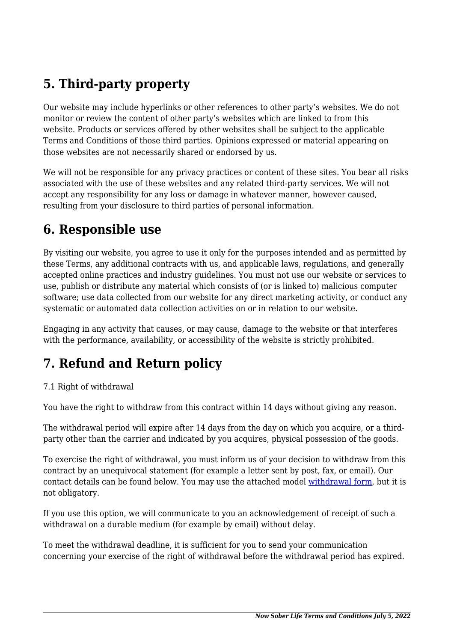# **5. Third-party property**

Our website may include hyperlinks or other references to other party's websites. We do not monitor or review the content of other party's websites which are linked to from this website. Products or services offered by other websites shall be subject to the applicable Terms and Conditions of those third parties. Opinions expressed or material appearing on those websites are not necessarily shared or endorsed by us.

We will not be responsible for any privacy practices or content of these sites. You bear all risks associated with the use of these websites and any related third-party services. We will not accept any responsibility for any loss or damage in whatever manner, however caused, resulting from your disclosure to third parties of personal information.

#### **6. Responsible use**

By visiting our website, you agree to use it only for the purposes intended and as permitted by these Terms, any additional contracts with us, and applicable laws, regulations, and generally accepted online practices and industry guidelines. You must not use our website or services to use, publish or distribute any material which consists of (or is linked to) malicious computer software; use data collected from our website for any direct marketing activity, or conduct any systematic or automated data collection activities on or in relation to our website.

Engaging in any activity that causes, or may cause, damage to the website or that interferes with the performance, availability, or accessibility of the website is strictly prohibited.

## **7. Refund and Return policy**

#### 7.1 Right of withdrawal

You have the right to withdraw from this contract within 14 days without giving any reason.

The withdrawal period will expire after 14 days from the day on which you acquire, or a thirdparty other than the carrier and indicated by you acquires, physical possession of the goods.

To exercise the right of withdrawal, you must inform us of your decision to withdraw from this contract by an unequivocal statement (for example a letter sent by post, fax, or email). Our contact details can be found below. You may use the attached model [withdrawal form](https://nowsoberlife.com/wp-content/uploads/complianz/withdrawal-forms/withdrawal-form-en.pdf), but it is not obligatory.

If you use this option, we will communicate to you an acknowledgement of receipt of such a withdrawal on a durable medium (for example by email) without delay.

To meet the withdrawal deadline, it is sufficient for you to send your communication concerning your exercise of the right of withdrawal before the withdrawal period has expired.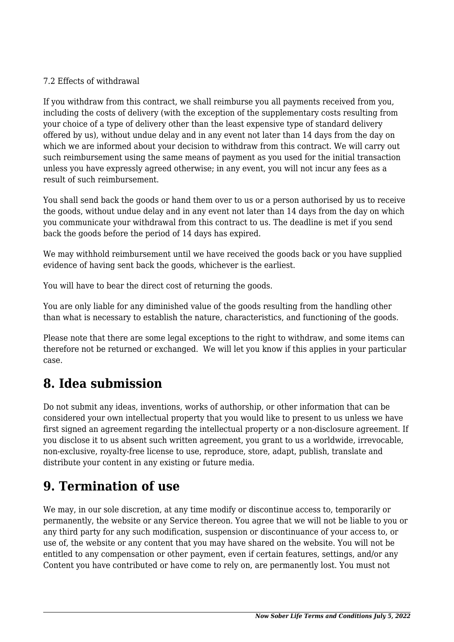#### 7.2 Effects of withdrawal

If you withdraw from this contract, we shall reimburse you all payments received from you, including the costs of delivery (with the exception of the supplementary costs resulting from your choice of a type of delivery other than the least expensive type of standard delivery offered by us), without undue delay and in any event not later than 14 days from the day on which we are informed about your decision to withdraw from this contract. We will carry out such reimbursement using the same means of payment as you used for the initial transaction unless you have expressly agreed otherwise; in any event, you will not incur any fees as a result of such reimbursement.

You shall send back the goods or hand them over to us or a person authorised by us to receive the goods, without undue delay and in any event not later than 14 days from the day on which you communicate your withdrawal from this contract to us. The deadline is met if you send back the goods before the period of 14 days has expired.

We may withhold reimbursement until we have received the goods back or you have supplied evidence of having sent back the goods, whichever is the earliest.

You will have to bear the direct cost of returning the goods.

You are only liable for any diminished value of the goods resulting from the handling other than what is necessary to establish the nature, characteristics, and functioning of the goods.

Please note that there are some legal exceptions to the right to withdraw, and some items can therefore not be returned or exchanged. We will let you know if this applies in your particular case.

#### **8. Idea submission**

Do not submit any ideas, inventions, works of authorship, or other information that can be considered your own intellectual property that you would like to present to us unless we have first signed an agreement regarding the intellectual property or a non-disclosure agreement. If you disclose it to us absent such written agreement, you grant to us a worldwide, irrevocable, non-exclusive, royalty-free license to use, reproduce, store, adapt, publish, translate and distribute your content in any existing or future media.

#### **9. Termination of use**

We may, in our sole discretion, at any time modify or discontinue access to, temporarily or permanently, the website or any Service thereon. You agree that we will not be liable to you or any third party for any such modification, suspension or discontinuance of your access to, or use of, the website or any content that you may have shared on the website. You will not be entitled to any compensation or other payment, even if certain features, settings, and/or any Content you have contributed or have come to rely on, are permanently lost. You must not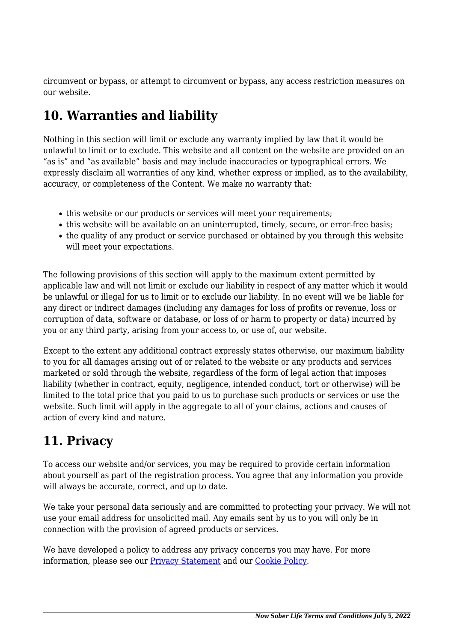circumvent or bypass, or attempt to circumvent or bypass, any access restriction measures on our website.

## **10. Warranties and liability**

Nothing in this section will limit or exclude any warranty implied by law that it would be unlawful to limit or to exclude. This website and all content on the website are provided on an "as is" and "as available" basis and may include inaccuracies or typographical errors. We expressly disclaim all warranties of any kind, whether express or implied, as to the availability, accuracy, or completeness of the Content. We make no warranty that:

- this website or our products or services will meet your requirements;
- this website will be available on an uninterrupted, timely, secure, or error-free basis;
- the quality of any product or service purchased or obtained by you through this website will meet your expectations.

The following provisions of this section will apply to the maximum extent permitted by applicable law and will not limit or exclude our liability in respect of any matter which it would be unlawful or illegal for us to limit or to exclude our liability. In no event will we be liable for any direct or indirect damages (including any damages for loss of profits or revenue, loss or corruption of data, software or database, or loss of or harm to property or data) incurred by you or any third party, arising from your access to, or use of, our website.

Except to the extent any additional contract expressly states otherwise, our maximum liability to you for all damages arising out of or related to the website or any products and services marketed or sold through the website, regardless of the form of legal action that imposes liability (whether in contract, equity, negligence, intended conduct, tort or otherwise) will be limited to the total price that you paid to us to purchase such products or services or use the website. Such limit will apply in the aggregate to all of your claims, actions and causes of action of every kind and nature.

## **11. Privacy**

To access our website and/or services, you may be required to provide certain information about yourself as part of the registration process. You agree that any information you provide will always be accurate, correct, and up to date.

We take your personal data seriously and are committed to protecting your privacy. We will not use your email address for unsolicited mail. Any emails sent by us to you will only be in connection with the provision of agreed products or services.

We have developed a policy to address any privacy concerns you may have. For more information, please see our **Privacy Statement** and our **[Cookie Policy](https://nowsoberlife.com/cookie-policy-us/)**.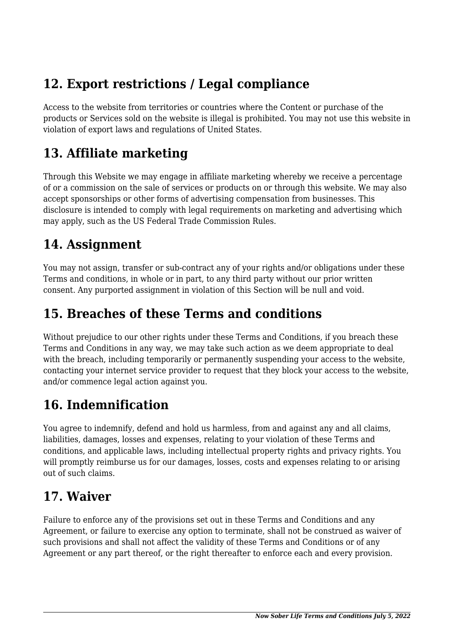## **12. Export restrictions / Legal compliance**

Access to the website from territories or countries where the Content or purchase of the products or Services sold on the website is illegal is prohibited. You may not use this website in violation of export laws and regulations of United States.

## **13. Affiliate marketing**

Through this Website we may engage in affiliate marketing whereby we receive a percentage of or a commission on the sale of services or products on or through this website. We may also accept sponsorships or other forms of advertising compensation from businesses. This disclosure is intended to comply with legal requirements on marketing and advertising which may apply, such as the US Federal Trade Commission Rules.

## **14. Assignment**

You may not assign, transfer or sub-contract any of your rights and/or obligations under these Terms and conditions, in whole or in part, to any third party without our prior written consent. Any purported assignment in violation of this Section will be null and void.

#### **15. Breaches of these Terms and conditions**

Without prejudice to our other rights under these Terms and Conditions, if you breach these Terms and Conditions in any way, we may take such action as we deem appropriate to deal with the breach, including temporarily or permanently suspending your access to the website, contacting your internet service provider to request that they block your access to the website, and/or commence legal action against you.

# **16. Indemnification**

You agree to indemnify, defend and hold us harmless, from and against any and all claims, liabilities, damages, losses and expenses, relating to your violation of these Terms and conditions, and applicable laws, including intellectual property rights and privacy rights. You will promptly reimburse us for our damages, losses, costs and expenses relating to or arising out of such claims.

#### **17. Waiver**

Failure to enforce any of the provisions set out in these Terms and Conditions and any Agreement, or failure to exercise any option to terminate, shall not be construed as waiver of such provisions and shall not affect the validity of these Terms and Conditions or of any Agreement or any part thereof, or the right thereafter to enforce each and every provision.